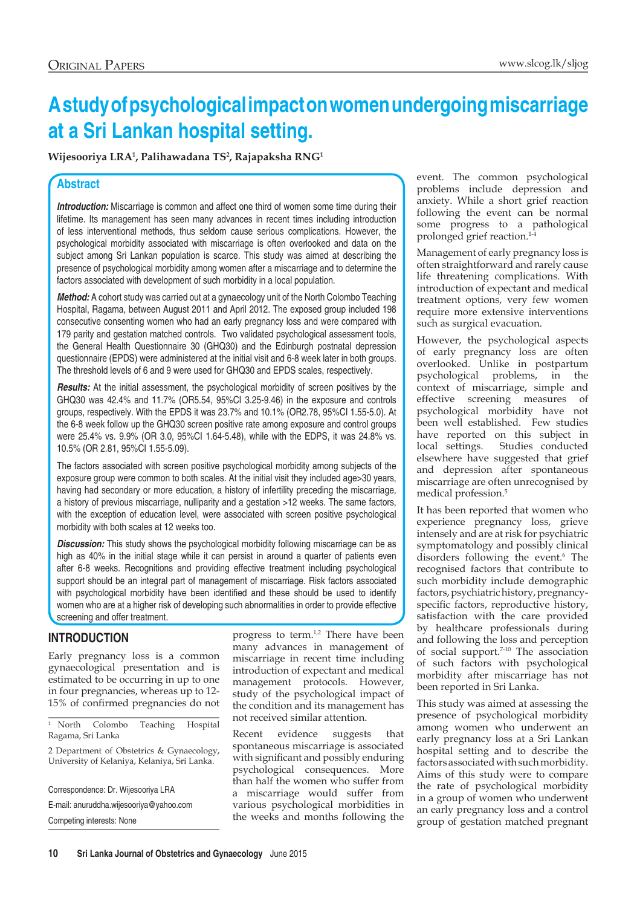# **A study of psychological impact on women undergoing miscarriage at a Sri Lankan hospital setting.**

**Wijesooriya LRA1 , Palihawadana TS2 , Rajapaksha RNG1**

## **Abstract**

**Introduction:** Miscarriage is common and affect one third of women some time during their lifetime. Its management has seen many advances in recent times including introduction of less interventional methods, thus seldom cause serious complications. However, the psychological morbidity associated with miscarriage is often overlooked and data on the subject among Sri Lankan population is scarce. This study was aimed at describing the presence of psychological morbidity among women after a miscarriage and to determine the factors associated with development of such morbidity in a local population.

*Method:* A cohort study was carried out at a gynaecology unit of the North Colombo Teaching Hospital, Ragama, between August 2011 and April 2012. The exposed group included 198 consecutive consenting women who had an early pregnancy loss and were compared with 179 parity and gestation matched controls. Two validated psychological assessment tools, the General Health Questionnaire 30 (GHQ30) and the Edinburgh postnatal depression questionnaire (EPDS) were administered at the initial visit and 6-8 week later in both groups. The threshold levels of 6 and 9 were used for GHQ30 and EPDS scales, respectively.

**Results:** At the initial assessment, the psychological morbidity of screen positives by the GHQ30 was 42.4% and 11.7% (OR5.54, 95%CI 3.25-9.46) in the exposure and controls groups, respectively. With the EPDS it was 23.7% and 10.1% (OR2.78, 95%CI 1.55-5.0). At the 6-8 week follow up the GHQ30 screen positive rate among exposure and control groups were 25.4% vs. 9.9% (OR 3.0, 95%CI 1.64-5.48), while with the EDPS, it was 24.8% vs. 10.5% (OR 2.81, 95%CI 1.55-5.09).

The factors associated with screen positive psychological morbidity among subjects of the exposure group were common to both scales. At the initial visit they included age>30 years, having had secondary or more education, a history of infertility preceding the miscarriage, a history of previous miscarriage, nulliparity and a gestation >12 weeks. The same factors, with the exception of education level, were associated with screen positive psychological morbidity with both scales at 12 weeks too.

**Discussion:** This study shows the psychological morbidity following miscarriage can be as high as 40% in the initial stage while it can persist in around a quarter of patients even after 6-8 weeks. Recognitions and providing effective treatment including psychological support should be an integral part of management of miscarriage. Risk factors associated with psychological morbidity have been identified and these should be used to identify women who are at a higher risk of developing such abnormalities in order to provide effective screening and offer treatment.

## **INTRODUCTION**

Early pregnancy loss is a common gynaecological presentation and is estimated to be occurring in up to one in four pregnancies, whereas up to 12- 15% of confirmed pregnancies do not

<sup>1</sup> North Colombo Teaching Hospital Ragama, Sri Lanka

2 Department of Obstetrics & Gynaecology, University of Kelaniya, Kelaniya, Sri Lanka.

Correspondence: Dr. Wijesooriya LRA E-mail: anuruddha.wijesooriya@yahoo.com

Competing interests: None

progress to term.<sup>1,2</sup> There have been many advances in management of miscarriage in recent time including introduction of expectant and medical management protocols. However, study of the psychological impact of the condition and its management has not received similar attention.

Recent evidence suggests that spontaneous miscarriage is associated with significant and possibly enduring psychological consequences. More than half the women who suffer from a miscarriage would suffer from various psychological morbidities in the weeks and months following the event. The common psychological problems include depression and anxiety. While a short grief reaction following the event can be normal some progress to a pathological prolonged grief reaction.<sup>14</sup>

Management of early pregnancy loss is often straightforward and rarely cause life threatening complications. With introduction of expectant and medical treatment options, very few women require more extensive interventions such as surgical evacuation.

However, the psychological aspects of early pregnancy loss are often overlooked. Unlike in postpartum psychological problems, in the context of miscarriage, simple and effective screening measures of psychological morbidity have not been well established. Few studies have reported on this subject in local settings. Studies conducted elsewhere have suggested that grief and depression after spontaneous miscarriage are often unrecognised by medical profession.5

It has been reported that women who experience pregnancy loss, grieve intensely and are at risk for psychiatric symptomatology and possibly clinical disorders following the event.<sup>6</sup> The recognised factors that contribute to such morbidity include demographic factors, psychiatric history, pregnancyspecific factors, reproductive history, satisfaction with the care provided by healthcare professionals during and following the loss and perception of social support.7-10 The association of such factors with psychological morbidity after miscarriage has not been reported in Sri Lanka.

This study was aimed at assessing the presence of psychological morbidity among women who underwent an early pregnancy loss at a Sri Lankan hospital setting and to describe the factors associated with such morbidity. Aims of this study were to compare the rate of psychological morbidity in a group of women who underwent an early pregnancy loss and a control group of gestation matched pregnant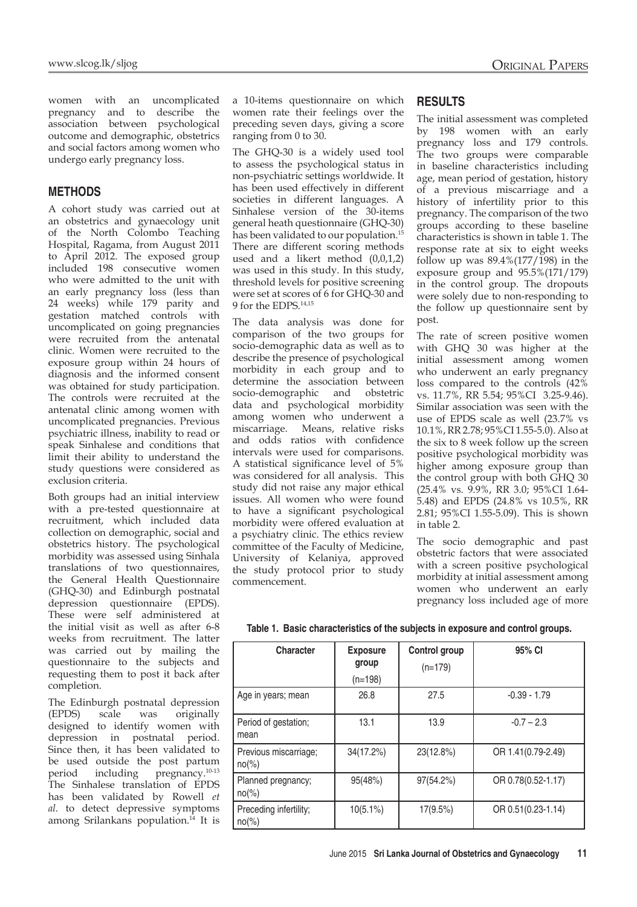women with an uncomplicated pregnancy and to describe the association between psychological outcome and demographic, obstetrics and social factors among women who undergo early pregnancy loss.

## **METHODS**

A cohort study was carried out at an obstetrics and gynaecology unit of the North Colombo Teaching Hospital, Ragama, from August 2011 to April 2012. The exposed group included 198 consecutive women who were admitted to the unit with an early pregnancy loss (less than 24 weeks) while 179 parity and gestation matched controls with uncomplicated on going pregnancies were recruited from the antenatal clinic. Women were recruited to the exposure group within 24 hours of diagnosis and the informed consent was obtained for study participation. The controls were recruited at the antenatal clinic among women with uncomplicated pregnancies. Previous psychiatric illness, inability to read or speak Sinhalese and conditions that limit their ability to understand the study questions were considered as exclusion criteria.

Both groups had an initial interview with a pre-tested questionnaire at recruitment, which included data collection on demographic, social and obstetrics history. The psychological morbidity was assessed using Sinhala translations of two questionnaires, the General Health Questionnaire (GHQ-30) and Edinburgh postnatal depression questionnaire (EPDS). These were self administered at the initial visit as well as after 6-8 weeks from recruitment. The latter was carried out by mailing the questionnaire to the subjects and requesting them to post it back after completion.

The Edinburgh postnatal depression (EPDS) scale was originally designed to identify women with depression in postnatal period. Since then, it has been validated to be used outside the post partum period including pregnancy.10-13 The Sinhalese translation of EPDS has been validated by Rowell *et al*. to detect depressive symptoms among Srilankans population. $^{14}$  It is

a 10-items questionnaire on which women rate their feelings over the preceding seven days, giving a score ranging from 0 to 30.

The GHQ-30 is a widely used tool to assess the psychological status in non-psychiatric settings worldwide. It has been used effectively in different societies in different languages. A Sinhalese version of the 30-items general heath questionnaire (GHQ-30) has been validated to our population.<sup>15</sup> There are different scoring methods used and a likert method (0,0,1,2) was used in this study. In this study, threshold levels for positive screening were set at scores of 6 for GHQ-30 and 9 for the EDPS.14,15

The data analysis was done for comparison of the two groups for socio-demographic data as well as to describe the presence of psychological morbidity in each group and to determine the association between socio-demographic and obstetric data and psychological morbidity among women who underwent a miscarriage. Means, relative risks and odds ratios with confidence intervals were used for comparisons. A statistical significance level of 5% was considered for all analysis. This study did not raise any major ethical issues. All women who were found to have a significant psychological morbidity were offered evaluation at a psychiatry clinic. The ethics review committee of the Faculty of Medicine, University of Kelaniya, approved the study protocol prior to study commencement.

### **RESULTS**

The initial assessment was completed by 198 women with an early pregnancy loss and 179 controls. The two groups were comparable in baseline characteristics including age, mean period of gestation, history of a previous miscarriage and a history of infertility prior to this pregnancy. The comparison of the two groups according to these baseline characteristics is shown in table 1. The response rate at six to eight weeks follow up was  $89.4\frac{1}{77}$  (177/198) in the exposure group and 95.5%(171/179) in the control group. The dropouts were solely due to non-responding to the follow up questionnaire sent by post.

The rate of screen positive women with GHQ 30 was higher at the initial assessment among women who underwent an early pregnancy loss compared to the controls (42% vs. 11.7%, RR 5.54; 95%CI 3.25-9.46). Similar association was seen with the use of EPDS scale as well (23.7% vs 10.1%, RR 2.78; 95%CI 1.55-5.0). Also at the six to 8 week follow up the screen positive psychological morbidity was higher among exposure group than the control group with both GHQ 30 (25.4% vs. 9.9%, RR 3.0; 95%CI 1.64- 5.48) and EPDS (24.8% vs 10.5%, RR 2.81; 95%CI 1.55-5.09). This is shown in table 2.

The socio demographic and past obstetric factors that were associated with a screen positive psychological morbidity at initial assessment among women who underwent an early pregnancy loss included age of more

| <b>Character</b>                   | <b>Exposure</b><br>group | Control group<br>$(n=179)$ | 95% CI             |
|------------------------------------|--------------------------|----------------------------|--------------------|
|                                    | $(n=198)$                |                            |                    |
| Age in years; mean                 | 26.8                     | 27.5                       | $-0.39 - 1.79$     |
| Period of gestation;<br>mean       | 13.1                     | 13.9                       | $-0.7 - 2.3$       |
| Previous miscarriage;<br>$no(\%)$  | 34(17.2%)                | 23(12.8%)                  | OR 1.41(0.79-2.49) |
| Planned pregnancy;<br>$no(\%)$     | 95(48%)                  | 97(54.2%)                  | OR 0.78(0.52-1.17) |
| Preceding infertility;<br>$no(\%)$ | $10(5.1\%)$              | 17(9.5%)                   | OR 0.51(0.23-1.14) |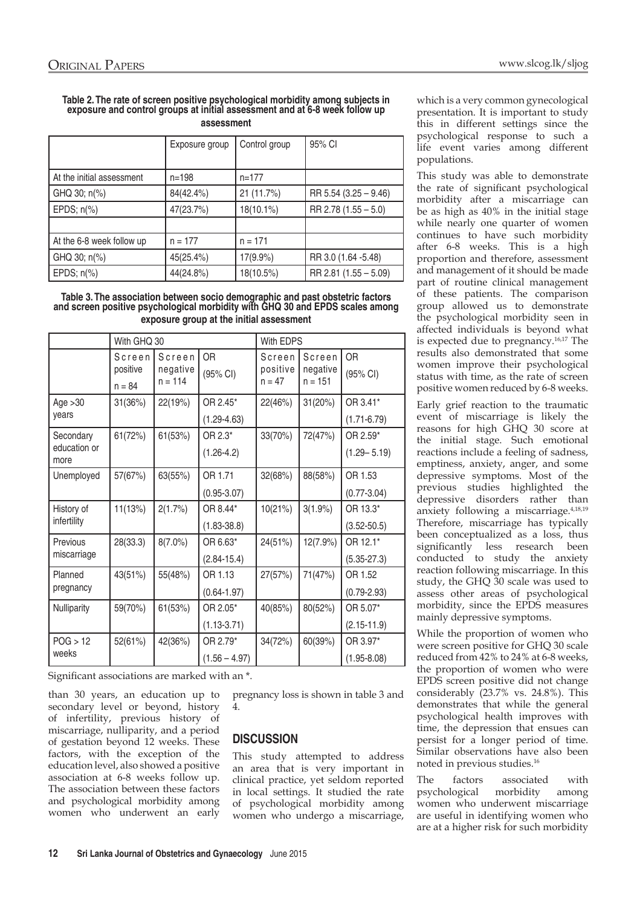#### **Table 2. The rate of screen positive psychological morbidity among subjects in exposure and control groups at initial assessment and at 6-8 week follow up assessment**

|                           | Exposure group | Control group | 95% CI                |
|---------------------------|----------------|---------------|-----------------------|
| At the initial assessment | $n = 198$      | $n=177$       |                       |
| GHQ 30; n(%)              | 84(42.4%)      | 21 (11.7%)    | RR 5.54 (3.25 - 9.46) |
| EPDS; $n\frac{6}{6}$      | 47(23.7%)      | 18(10.1%)     | RR 2.78 (1.55 - 5.0)  |
|                           |                |               |                       |
| At the 6-8 week follow up | $n = 177$      | $n = 171$     |                       |
| GHQ 30; n(%)              | 45(25.4%)      | 17(9.9%)      | RR 3.0 (1.64 -5.48)   |
| EPDS; $n\frac{6}{6}$      | 44(24.8%)      | 18(10.5%)     | RR 2.81 (1.55 - 5.09) |

#### **Table 3. The association between socio demographic and past obstetric factors and screen positive psychological morbidity with GHQ 30 and EPDS scales among exposure group at the initial assessment**

|                                   | With GHQ 30                    |                                 | With EDPS                   |                                |                                 |                             |
|-----------------------------------|--------------------------------|---------------------------------|-----------------------------|--------------------------------|---------------------------------|-----------------------------|
|                                   | Screen<br>positive<br>$n = 84$ | Screen<br>negative<br>$n = 114$ | <b>OR</b><br>(95% CI)       | Screen<br>positive<br>$n = 47$ | Screen<br>negative<br>$n = 151$ | OR<br>(95% CI)              |
| Age $>30$<br>years                | 31(36%)                        | 22(19%)                         | OR 2.45*<br>$(1.29 - 4.63)$ | 22(46%)                        | 31(20%)                         | OR 3.41*<br>$(1.71 - 6.79)$ |
| Secondary<br>education or<br>more | 61(72%)                        | 61(53%)                         | OR 2.3*<br>$(1.26 - 4.2)$   | 33(70%)                        | 72(47%)                         | OR 2.59*<br>$(1.29 - 5.19)$ |
| Unemployed                        | 57(67%)                        | 63(55%)                         | OR 1.71<br>$(0.95 - 3.07)$  | 32(68%)                        | 88(58%)                         | OR 1.53<br>$(0.77 - 3.04)$  |
| History of<br>infertility         | 11(13%)                        | 2(1.7%)                         | OR 8.44*<br>$(1.83 - 38.8)$ | 10(21%)                        | $3(1.9\%)$                      | OR 13.3*<br>$(3.52 - 50.5)$ |
| <b>Previous</b><br>miscarriage    | 28(33.3)                       | $8(7.0\%)$                      | OR 6.63*<br>$(2.84 - 15.4)$ | 24(51%)                        | 12(7.9%)                        | OR 12.1*<br>$(5.35 - 27.3)$ |
| Planned<br>pregnancy              | 43(51%)                        | 55(48%)                         | OR 1.13<br>$(0.64 - 1.97)$  | 27(57%)                        | 71(47%)                         | OR 1.52<br>$(0.79 - 2.93)$  |
| Nulliparity                       | 59(70%)                        | 61(53%)                         | OR 2.05*<br>$(1.13 - 3.71)$ | 40(85%)                        | 80(52%)                         | OR 5.07*<br>$(2.15 - 11.9)$ |
| POG > 12<br>weeks                 | 52(61%)                        | 42(36%)                         | OR 2.79*<br>$(1.56 - 4.97)$ | 34(72%)                        | 60(39%)                         | OR 3.97*<br>$(1.95 - 8.08)$ |

Significant associations are marked with an \*.

than 30 years, an education up to secondary level or beyond, history of infertility, previous history of miscarriage, nulliparity, and a period of gestation beyond 12 weeks. These factors, with the exception of the education level, also showed a positive association at 6-8 weeks follow up. The association between these factors and psychological morbidity among women who underwent an early pregnancy loss is shown in table 3 and 4.

# **DISCUSSION**

This study attempted to address an area that is very important in clinical practice, yet seldom reported in local settings. It studied the rate of psychological morbidity among women who undergo a miscarriage,

which is a very common gynecological presentation. It is important to study this in different settings since the psychological response to such a life event varies among different populations.

This study was able to demonstrate the rate of significant psychological morbidity after a miscarriage can be as high as 40% in the initial stage while nearly one quarter of women continues to have such morbidity after 6-8 weeks. This is a high proportion and therefore, assessment and management of it should be made part of routine clinical management of these patients. The comparison group allowed us to demonstrate the psychological morbidity seen in affected individuals is beyond what is expected due to pregnancy.16,17 The results also demonstrated that some women improve their psychological status with time, as the rate of screen positive women reduced by 6-8 weeks.

Early grief reaction to the traumatic event of miscarriage is likely the reasons for high GHQ 30 score at the initial stage. Such emotional reactions include a feeling of sadness, emptiness, anxiety, anger, and some depressive symptoms. Most of the previous studies highlighted the depressive disorders rather than anxiety following a miscarriage.4,18,19 Therefore, miscarriage has typically been conceptualized as a loss, thus significantly less research been conducted to study the anxiety reaction following miscarriage. In this study, the GHQ 30 scale was used to assess other areas of psychological morbidity, since the EPDS measures mainly depressive symptoms.

While the proportion of women who were screen positive for GHQ 30 scale reduced from 42% to 24% at 6-8 weeks, the proportion of women who were EPDS screen positive did not change considerably (23.7% vs. 24.8%). This demonstrates that while the general psychological health improves with time, the depression that ensues can persist for a longer period of time. Similar observations have also been noted in previous studies.16

The factors associated with psychological morbidity among women who underwent miscarriage are useful in identifying women who are at a higher risk for such morbidity